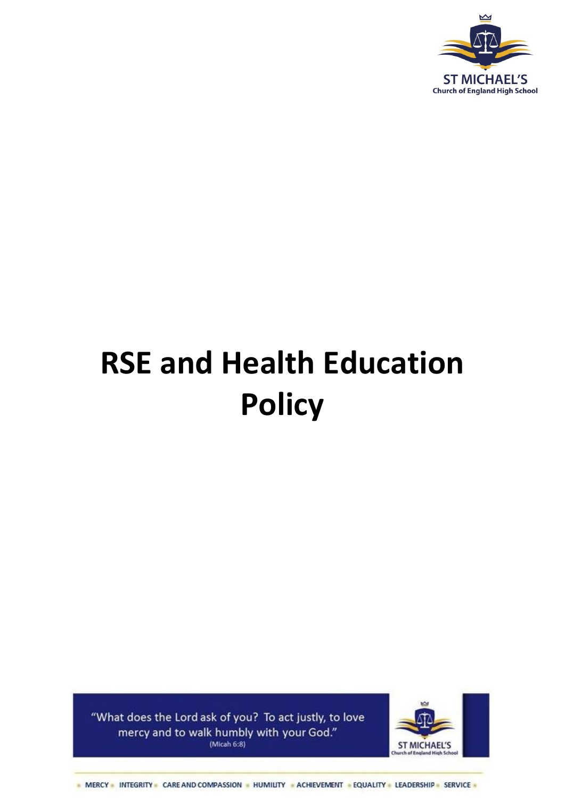

# **RSE and Health Education Policy**

"What does the Lord ask of you? To act justly, to love mercy and to walk humbly with your God." (Micah  $6:8$ )



- MERCY - INTEGRITY - CARE AND COMPASSION - HUMILITY - ACHIEVEMENT - EQUALITY - LEADERSHIP - SERVICE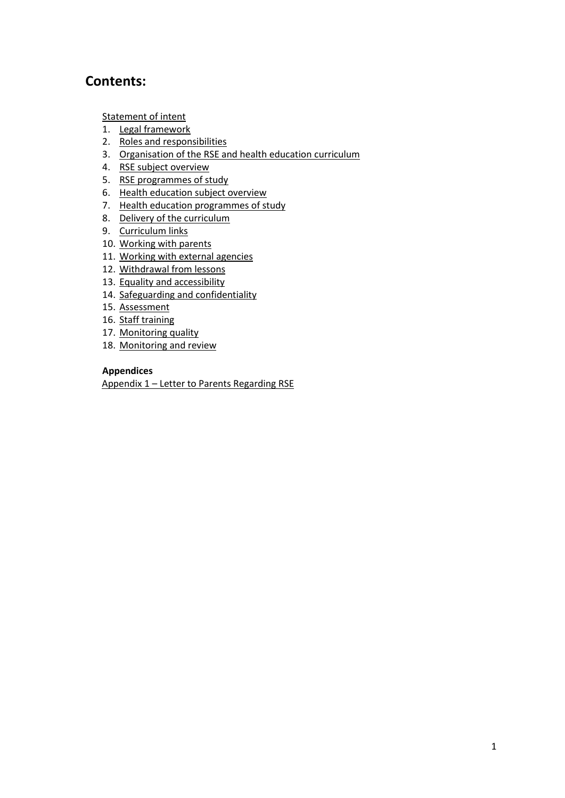## **Contents:**

[Statement of intent](#page-1-0)

- 1. [Legal framework](#page-2-0)
- 2. [Roles and responsibilities](#page-3-0)
- 3. [Organisation of the RSE and health education c](#page-4-0)urriculum
- 4. [RSE subject overview](#page-6-0)
- 5. [RSE programmes of study](#page-8-0)
- 6. Health education subject overview
- 7. [Health education programmes of study](#page-10-0)
- 8. Delivery of the curriculum
- 9. [Curriculum links](#page-11-0)
- 10. [Working with parents](#page-11-0)
- 11. [Working with external agencies](#page-12-0)
- 12. [Withdrawal from lessons](#page-13-0)
- 13. [Equality and accessibility](#page-13-1)
- 14. [Safeguarding and confidentiality](#page-14-0)
- 15. [Assessment](#page-14-1)
- 16. [Staff training](#page-15-0)
- 17. [Monitoring quality](#page-15-1)
- 18. [Monitoring and review](#page-15-1)

## **Appendices**

<span id="page-1-0"></span>Appendix 1 – [Letter to Parents Regarding RSE](#page-17-0)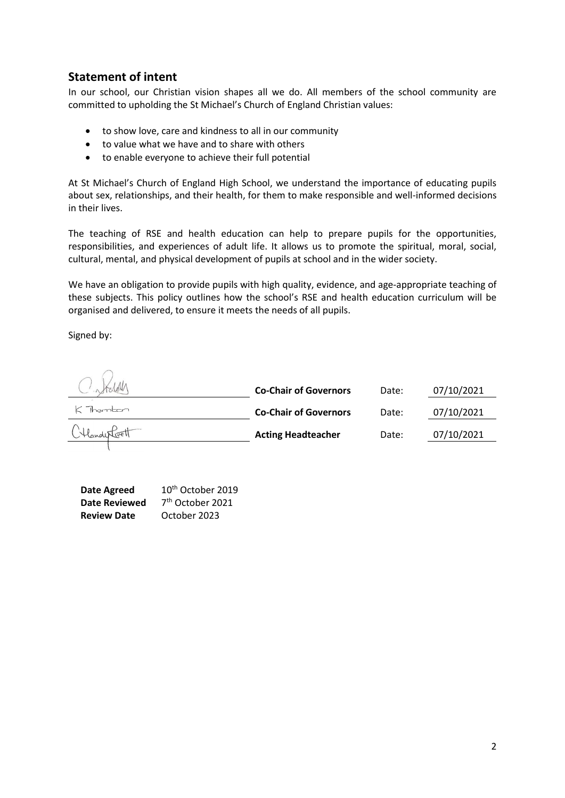## **Statement of intent**

In our school, our Christian vision shapes all we do. All members of the school community are committed to upholding the St Michael's Church of England Christian values:

- to show love, care and kindness to all in our community
- to value what we have and to share with others
- to enable everyone to achieve their full potential

At St Michael's Church of England High School, we understand the importance of educating pupils about sex, relationships, and their health, for them to make responsible and well-informed decisions in their lives.

The teaching of RSE and health education can help to prepare pupils for the opportunities, responsibilities, and experiences of adult life. It allows us to promote the spiritual, moral, social, cultural, mental, and physical development of pupils at school and in the wider society.

We have an obligation to provide pupils with high quality, evidence, and age-appropriate teaching of these subjects. This policy outlines how the school's RSE and health education curriculum will be organised and delivered, to ensure it meets the needs of all pupils.

Signed by:

|               | <b>Co-Chair of Governors</b> | Date: | 07/10/2021 |
|---------------|------------------------------|-------|------------|
| K Thambon     | <b>Co-Chair of Governors</b> | Date: | 07/10/2021 |
| CHanderCovett | <b>Acting Headteacher</b>    | Date: | 07/10/2021 |

<span id="page-2-0"></span>

| Date Agreed          | 10 <sup>th</sup> October 2019 |
|----------------------|-------------------------------|
| <b>Date Reviewed</b> | 7 <sup>th</sup> October 2021  |
| <b>Review Date</b>   | October 2023                  |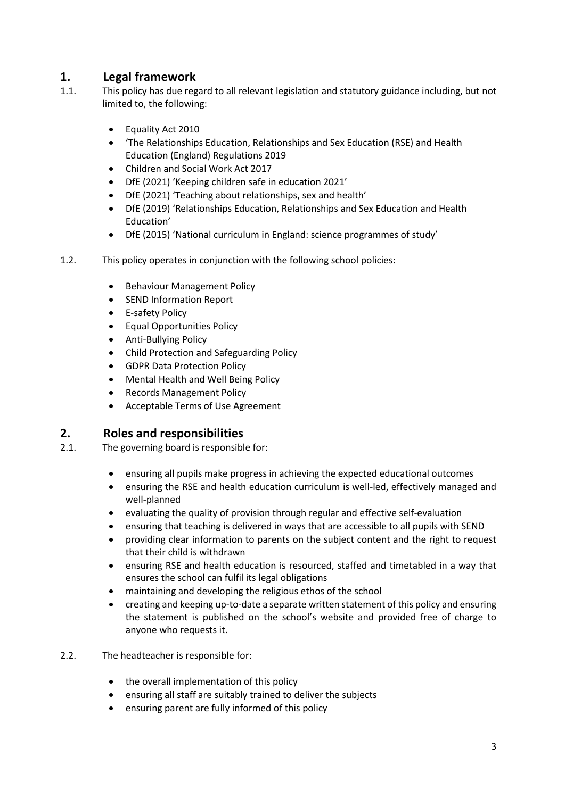## **1. Legal framework**

- 1.1. This policy has due regard to all relevant legislation and statutory guidance including, but not limited to, the following:
	- Equality Act 2010
	- 'The Relationships Education, Relationships and Sex Education (RSE) and Health Education (England) Regulations 2019
	- Children and Social Work Act 2017
	- DfE (2021) 'Keeping children safe in education 2021'
	- DfE (2021) 'Teaching about relationships, sex and health'
	- DfE (2019) 'Relationships Education, Relationships and Sex Education and Health Education'
	- DfE (2015) 'National curriculum in England: science programmes of study'
- 1.2. This policy operates in conjunction with the following school policies:
	- **•** Behaviour Management Policy
	- SEND Information Report
	- E-safety Policy
	- Equal Opportunities Policy
	- Anti-Bullying Policy
	- Child Protection and Safeguarding Policy
	- GDPR Data Protection Policy
	- Mental Health and Well Being Policy
	- Records Management Policy
	- Acceptable Terms of Use Agreement

## <span id="page-3-0"></span>**2. Roles and responsibilities**

- 2.1. The governing board is responsible for:
	- ensuring all pupils make progress in achieving the expected educational outcomes
	- ensuring the RSE and health education curriculum is well-led, effectively managed and well-planned
	- evaluating the quality of provision through regular and effective self-evaluation
	- ensuring that teaching is delivered in ways that are accessible to all pupils with SEND
	- providing clear information to parents on the subject content and the right to request that their child is withdrawn
	- ensuring RSE and health education is resourced, staffed and timetabled in a way that ensures the school can fulfil its legal obligations
	- maintaining and developing the religious ethos of the school
	- creating and keeping up-to-date a separate written statement of this policy and ensuring the statement is published on the school's website and provided free of charge to anyone who requests it.
- 2.2. The headteacher is responsible for:
	- the overall implementation of this policy
	- ensuring all staff are suitably trained to deliver the subjects
	- ensuring parent are fully informed of this policy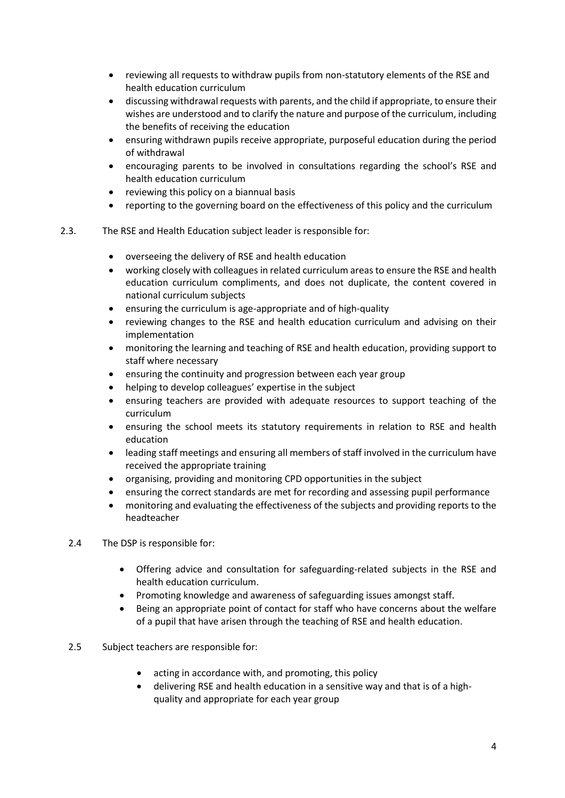- reviewing all requests to withdraw pupils from non-statutory elements of the RSE and health education curriculum
- discussing withdrawal requests with parents, and the child if appropriate, to ensure their wishes are understood and to clarify the nature and purpose of the curriculum, including the benefits of receiving the education
- ensuring withdrawn pupils receive appropriate, purposeful education during the period of withdrawal
- encouraging parents to be involved in consultations regarding the school's RSE and health education curriculum
- reviewing this policy on a biannual basis
- reporting to the governing board on the effectiveness of this policy and the curriculum
- <span id="page-4-0"></span>2.3. The RSE and Health Education subject leader is responsible for:
	- overseeing the delivery of RSE and health education
	- working closely with colleagues in related curriculum areas to ensure the RSE and health education curriculum compliments, and does not duplicate, the content covered in national curriculum subjects
	- ensuring the curriculum is age-appropriate and of high-quality
	- reviewing changes to the RSE and health education curriculum and advising on their implementation
	- monitoring the learning and teaching of RSE and health education, providing support to staff where necessary
	- ensuring the continuity and progression between each year group
	- helping to develop colleagues' expertise in the subject
	- ensuring teachers are provided with adequate resources to support teaching of the curriculum
	- ensuring the school meets its statutory requirements in relation to RSE and health education
	- leading staff meetings and ensuring all members of staff involved in the curriculum have received the appropriate training
	- organising, providing and monitoring CPD opportunities in the subject
	- ensuring the correct standards are met for recording and assessing pupil performance
	- monitoring and evaluating the effectiveness of the subjects and providing reports to the headteacher
	- 2.4 The DSP is responsible for:
		- Offering advice and consultation for safeguarding-related subjects in the RSE and health education curriculum.
		- Promoting knowledge and awareness of safeguarding issues amongst staff.
		- Being an appropriate point of contact for staff who have concerns about the welfare of a pupil that have arisen through the teaching of RSE and health education.
	- 2.5 Subject teachers are responsible for:
		- acting in accordance with, and promoting, this policy
		- delivering RSE and health education in a sensitive way and that is of a highquality and appropriate for each year group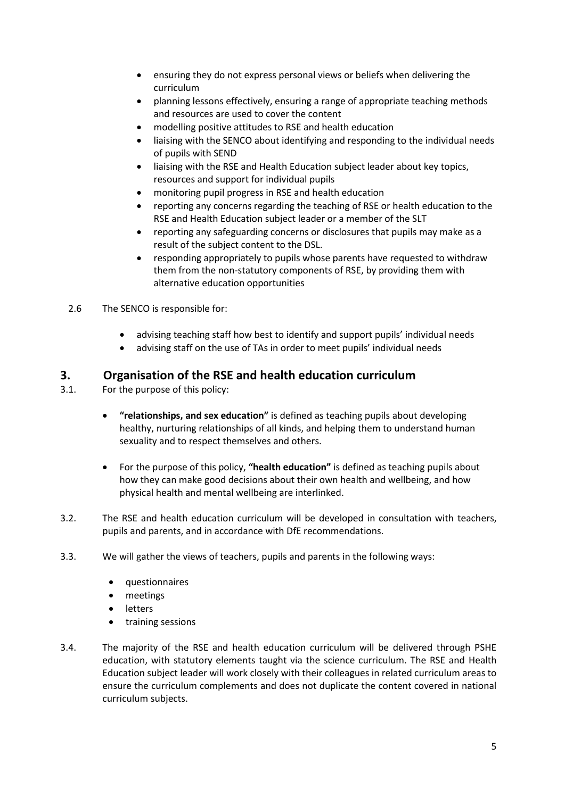- ensuring they do not express personal views or beliefs when delivering the curriculum
- planning lessons effectively, ensuring a range of appropriate teaching methods and resources are used to cover the content
- modelling positive attitudes to RSE and health education
- liaising with the SENCO about identifying and responding to the individual needs of pupils with SEND
- liaising with the RSE and Health Education subject leader about key topics, resources and support for individual pupils
- monitoring pupil progress in RSE and health education
- reporting any concerns regarding the teaching of RSE or health education to the RSE and Health Education subject leader or a member of the SLT
- reporting any safeguarding concerns or disclosures that pupils may make as a result of the subject content to the DSL.
- responding appropriately to pupils whose parents have requested to withdraw them from the non-statutory components of RSE, by providing them with alternative education opportunities
- 2.6 The SENCO is responsible for:
	- advising teaching staff how best to identify and support pupils' individual needs
	- advising staff on the use of TAs in order to meet pupils' individual needs

## **3. Organisation of the RSE and health education curriculum**

- 3.1. For the purpose of this policy:
	- **"relationships, and sex education"** is defined as teaching pupils about developing healthy, nurturing relationships of all kinds, and helping them to understand human sexuality and to respect themselves and others.
	- For the purpose of this policy, **"health education"** is defined as teaching pupils about how they can make good decisions about their own health and wellbeing, and how physical health and mental wellbeing are interlinked.
- 3.2. The RSE and health education curriculum will be developed in consultation with teachers, pupils and parents, and in accordance with DfE recommendations.
- 3.3. We will gather the views of teachers, pupils and parents in the following ways:
	- questionnaires
	- meetings
	- letters
	- training sessions
- 3.4. The majority of the RSE and health education curriculum will be delivered through PSHE education, with statutory elements taught via the science curriculum. The RSE and Health Education subject leader will work closely with their colleagues in related curriculum areas to ensure the curriculum complements and does not duplicate the content covered in national curriculum subjects.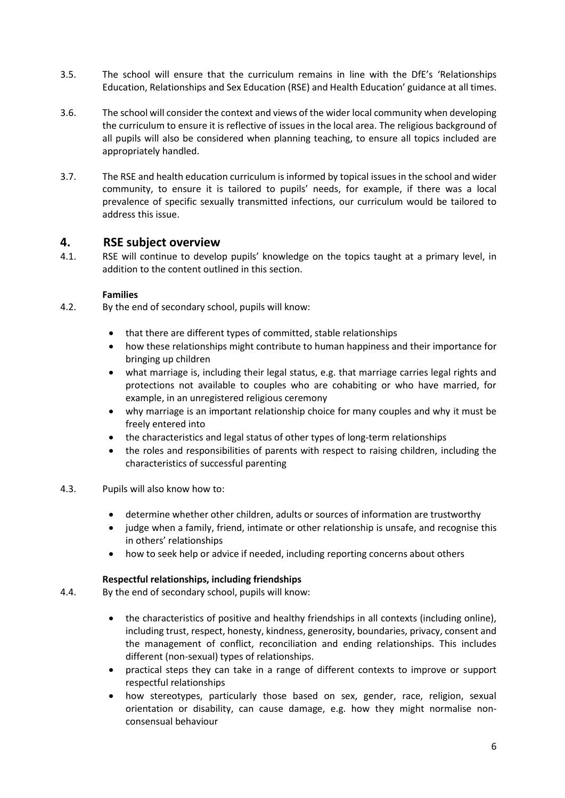- 3.5. The school will ensure that the curriculum remains in line with the DfE's 'Relationships Education, Relationships and Sex Education (RSE) and Health Education' guidance at all times.
- 3.6. The school will consider the context and views of the wider local community when developing the curriculum to ensure it is reflective of issues in the local area. The religious background of all pupils will also be considered when planning teaching, to ensure all topics included are appropriately handled.
- 3.7. The RSE and health education curriculum is informed by topical issues in the school and wider community, to ensure it is tailored to pupils' needs, for example, if there was a local prevalence of specific sexually transmitted infections, our curriculum would be tailored to address this issue.

## <span id="page-6-0"></span>**4. RSE subject overview**

4.1. RSE will continue to develop pupils' knowledge on the topics taught at a primary level, in addition to the content outlined in this section.

#### **Families**

- 4.2. By the end of secondary school, pupils will know:
	- that there are different types of committed, stable relationships
	- how these relationships might contribute to human happiness and their importance for bringing up children
	- what marriage is, including their legal status, e.g. that marriage carries legal rights and protections not available to couples who are cohabiting or who have married, for example, in an unregistered religious ceremony
	- why marriage is an important relationship choice for many couples and why it must be freely entered into
	- the characteristics and legal status of other types of long-term relationships
	- the roles and responsibilities of parents with respect to raising children, including the characteristics of successful parenting

#### 4.3. Pupils will also know how to:

- determine whether other children, adults or sources of information are trustworthy
- judge when a family, friend, intimate or other relationship is unsafe, and recognise this in others' relationships
- how to seek help or advice if needed, including reporting concerns about others

#### **Respectful relationships, including friendships**

- 4.4. By the end of secondary school, pupils will know:
	- the characteristics of positive and healthy friendships in all contexts (including online), including trust, respect, honesty, kindness, generosity, boundaries, privacy, consent and the management of conflict, reconciliation and ending relationships. This includes different (non-sexual) types of relationships.
	- practical steps they can take in a range of different contexts to improve or support respectful relationships
	- how stereotypes, particularly those based on sex, gender, race, religion, sexual orientation or disability, can cause damage, e.g. how they might normalise nonconsensual behaviour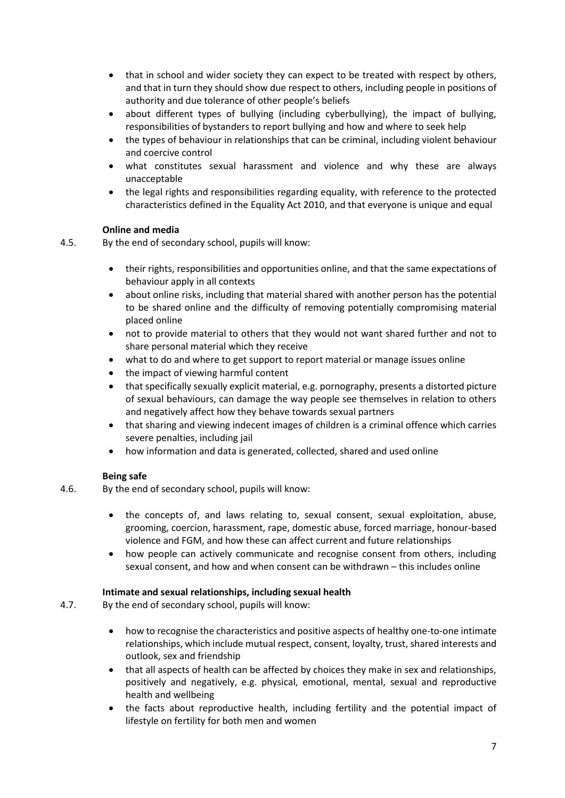- that in school and wider society they can expect to be treated with respect by others, and that in turn they should show due respect to others, including people in positions of authority and due tolerance of other people's beliefs
- about different types of bullying (including cyberbullying), the impact of bullying, responsibilities of bystanders to report bullying and how and where to seek help
- the types of behaviour in relationships that can be criminal, including violent behaviour and coercive control
- what constitutes sexual harassment and violence and why these are always unacceptable
- the legal rights and responsibilities regarding equality, with reference to the protected characteristics defined in the Equality Act 2010, and that everyone is unique and equal

#### **Online and media**

- 4.5. By the end of secondary school, pupils will know:
	- their rights, responsibilities and opportunities online, and that the same expectations of behaviour apply in all contexts
	- about online risks, including that material shared with another person has the potential to be shared online and the difficulty of removing potentially compromising material placed online
	- not to provide material to others that they would not want shared further and not to share personal material which they receive
	- what to do and where to get support to report material or manage issues online
	- the impact of viewing harmful content
	- that specifically sexually explicit material, e.g. pornography, presents a distorted picture of sexual behaviours, can damage the way people see themselves in relation to others and negatively affect how they behave towards sexual partners
	- that sharing and viewing indecent images of children is a criminal offence which carries severe penalties, including jail
	- how information and data is generated, collected, shared and used online

#### **Being safe**

- 4.6. By the end of secondary school, pupils will know:
	- the concepts of, and laws relating to, sexual consent, sexual exploitation, abuse, grooming, coercion, harassment, rape, domestic abuse, forced marriage, honour-based violence and FGM, and how these can affect current and future relationships
	- how people can actively communicate and recognise consent from others, including sexual consent, and how and when consent can be withdrawn – this includes online

#### **Intimate and sexual relationships, including sexual health**

- 4.7. By the end of secondary school, pupils will know:
	- how to recognise the characteristics and positive aspects of healthy one-to-one intimate relationships, which include mutual respect, consent, loyalty, trust, shared interests and outlook, sex and friendship
	- that all aspects of health can be affected by choices they make in sex and relationships, positively and negatively, e.g. physical, emotional, mental, sexual and reproductive health and wellbeing
	- the facts about reproductive health, including fertility and the potential impact of lifestyle on fertility for both men and women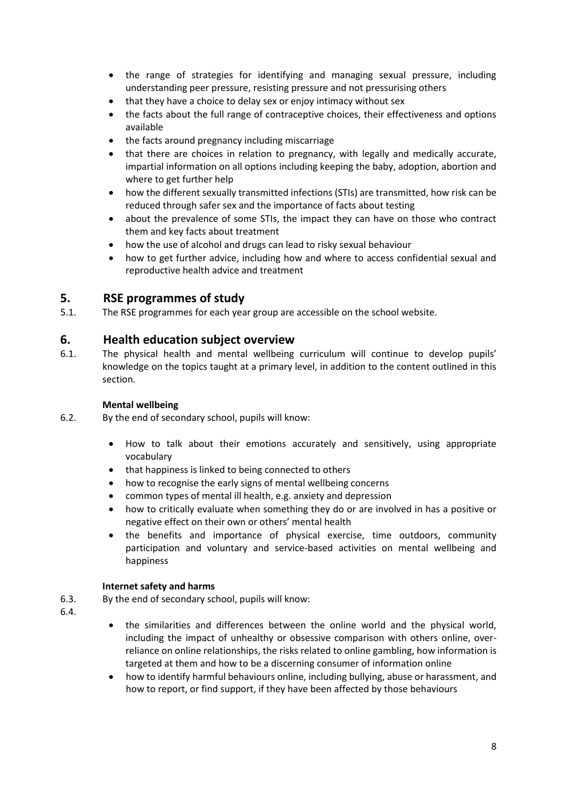- the range of strategies for identifying and managing sexual pressure, including understanding peer pressure, resisting pressure and not pressurising others
- that they have a choice to delay sex or enjoy intimacy without sex
- the facts about the full range of contraceptive choices, their effectiveness and options available
- the facts around pregnancy including miscarriage
- that there are choices in relation to pregnancy, with legally and medically accurate, impartial information on all options including keeping the baby, adoption, abortion and where to get further help
- how the different sexually transmitted infections (STIs) are transmitted, how risk can be reduced through safer sex and the importance of facts about testing
- about the prevalence of some STIs, the impact they can have on those who contract them and key facts about treatment
- how the use of alcohol and drugs can lead to risky sexual behaviour
- how to get further advice, including how and where to access confidential sexual and reproductive health advice and treatment

## **5. RSE programmes of study**

5.1. The RSE programmes for each year group are accessible on the school website.

## <span id="page-8-0"></span>**6. Health education subject overview**

6.1. The physical health and mental wellbeing curriculum will continue to develop pupils' knowledge on the topics taught at a primary level, in addition to the content outlined in this section.

#### **Mental wellbeing**

- 6.2. By the end of secondary school, pupils will know:
	- How to talk about their emotions accurately and sensitively, using appropriate vocabulary
	- that happiness is linked to being connected to others
	- how to recognise the early signs of mental wellbeing concerns
	- common types of mental ill health, e.g. anxiety and depression
	- how to critically evaluate when something they do or are involved in has a positive or negative effect on their own or others' mental health
	- the benefits and importance of physical exercise, time outdoors, community participation and voluntary and service-based activities on mental wellbeing and happiness

#### **Internet safety and harms**

- 6.3. By the end of secondary school, pupils will know:
- 6.4.
- the similarities and differences between the online world and the physical world, including the impact of unhealthy or obsessive comparison with others online, overreliance on online relationships, the risks related to online gambling, how information is targeted at them and how to be a discerning consumer of information online
- how to identify harmful behaviours online, including bullying, abuse or harassment, and how to report, or find support, if they have been affected by those behaviours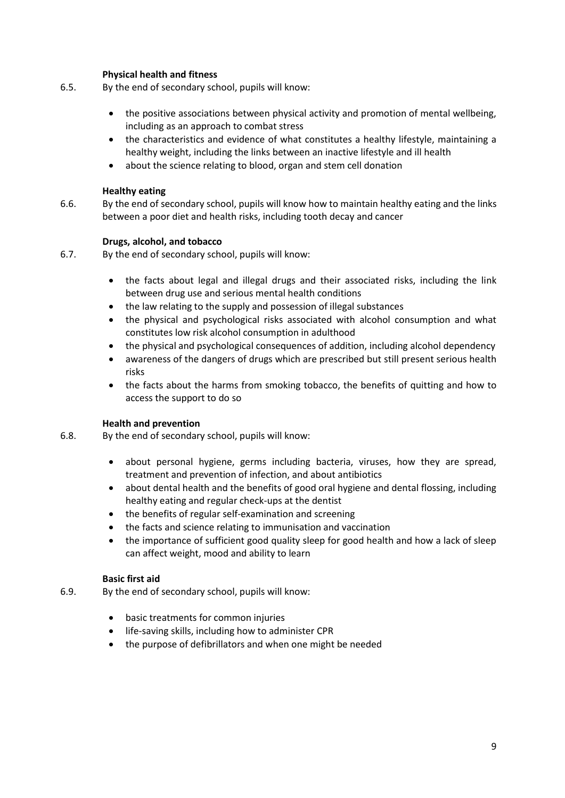#### **Physical health and fitness**

- 6.5. By the end of secondary school, pupils will know:
	- the positive associations between physical activity and promotion of mental wellbeing, including as an approach to combat stress
	- the characteristics and evidence of what constitutes a healthy lifestyle, maintaining a healthy weight, including the links between an inactive lifestyle and ill health
	- about the science relating to blood, organ and stem cell donation

#### **Healthy eating**

6.6. By the end of secondary school, pupils will know how to maintain healthy eating and the links between a poor diet and health risks, including tooth decay and cancer

#### **Drugs, alcohol, and tobacco**

6.7. By the end of secondary school, pupils will know:

- the facts about legal and illegal drugs and their associated risks, including the link between drug use and serious mental health conditions
- the law relating to the supply and possession of illegal substances
- the physical and psychological risks associated with alcohol consumption and what constitutes low risk alcohol consumption in adulthood
- the physical and psychological consequences of addition, including alcohol dependency
- awareness of the dangers of drugs which are prescribed but still present serious health risks
- the facts about the harms from smoking tobacco, the benefits of quitting and how to access the support to do so

#### **Health and prevention**

- 6.8. By the end of secondary school, pupils will know:
	- about personal hygiene, germs including bacteria, viruses, how they are spread, treatment and prevention of infection, and about antibiotics
	- about dental health and the benefits of good oral hygiene and dental flossing, including healthy eating and regular check-ups at the dentist
	- the benefits of regular self-examination and screening
	- the facts and science relating to immunisation and vaccination
	- the importance of sufficient good quality sleep for good health and how a lack of sleep can affect weight, mood and ability to learn

#### **Basic first aid**

- 6.9. By the end of secondary school, pupils will know:
	- basic treatments for common injuries
	- life-saving skills, including how to administer CPR
	- the purpose of defibrillators and when one might be needed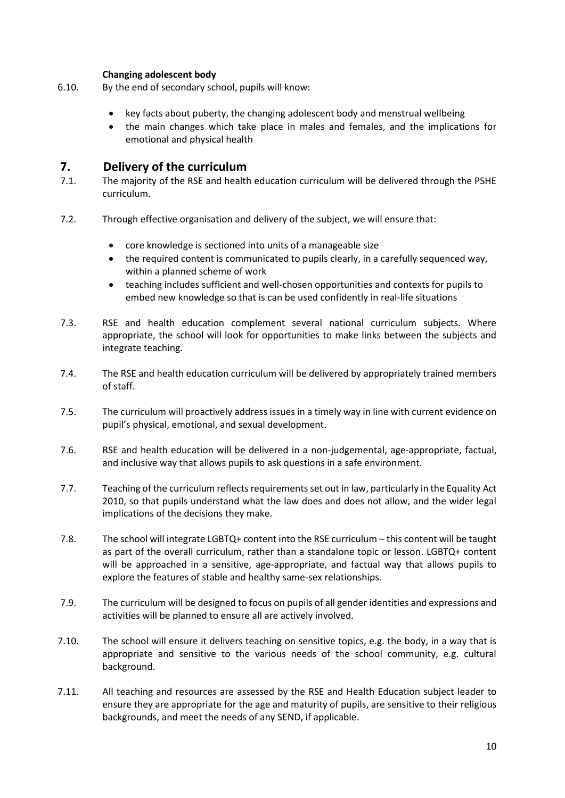#### **Changing adolescent body**

- 6.10. By the end of secondary school, pupils will know:
	- key facts about puberty, the changing adolescent body and menstrual wellbeing
	- the main changes which take place in males and females, and the implications for emotional and physical health

## <span id="page-10-0"></span>**7. Delivery of the curriculum**

- 7.1. The majority of the RSE and health education curriculum will be delivered through the PSHE curriculum.
- 7.2. Through effective organisation and delivery of the subject, we will ensure that:
	- core knowledge is sectioned into units of a manageable size
	- the required content is communicated to pupils clearly, in a carefully sequenced way, within a planned scheme of work
	- teaching includes sufficient and well-chosen opportunities and contexts for pupils to embed new knowledge so that is can be used confidently in real-life situations
- 7.3. RSE and health education complement several national curriculum subjects. Where appropriate, the school will look for opportunities to make links between the subjects and integrate teaching.
- 7.4. The RSE and health education curriculum will be delivered by appropriately trained members of staff.
- 7.5. The curriculum will proactively address issues in a timely way in line with current evidence on pupil's physical, emotional, and sexual development.
- 7.6. RSE and health education will be delivered in a non-judgemental, age-appropriate, factual, and inclusive way that allows pupils to ask questions in a safe environment.
- 7.7. Teaching of the curriculum reflects requirements set out in law, particularly in the Equality Act 2010, so that pupils understand what the law does and does not allow, and the wider legal implications of the decisions they make.
- 7.8. The school will integrate LGBTQ+ content into the RSE curriculum this content will be taught as part of the overall curriculum, rather than a standalone topic or lesson. LGBTQ+ content will be approached in a sensitive, age-appropriate, and factual way that allows pupils to explore the features of stable and healthy same-sex relationships.
- 7.9. The curriculum will be designed to focus on pupils of all gender identities and expressions and activities will be planned to ensure all are actively involved.
- 7.10. The school will ensure it delivers teaching on sensitive topics, e.g. the body, in a way that is appropriate and sensitive to the various needs of the school community, e.g. cultural background.
- 7.11. All teaching and resources are assessed by the RSE and Health Education subject leader to ensure they are appropriate for the age and maturity of pupils, are sensitive to their religious backgrounds, and meet the needs of any SEND, if applicable.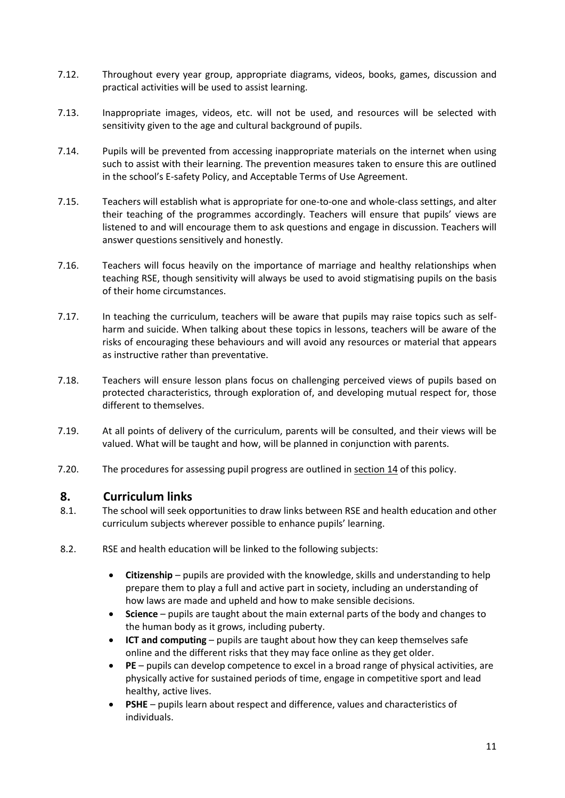- 7.12. Throughout every year group, appropriate diagrams, videos, books, games, discussion and practical activities will be used to assist learning.
- 7.13. Inappropriate images, videos, etc. will not be used, and resources will be selected with sensitivity given to the age and cultural background of pupils.
- 7.14. Pupils will be prevented from accessing inappropriate materials on the internet when using such to assist with their learning. The prevention measures taken to ensure this are outlined in the school's E-safety Policy, and Acceptable Terms of Use Agreement.
- 7.15. Teachers will establish what is appropriate for one-to-one and whole-class settings, and alter their teaching of the programmes accordingly. Teachers will ensure that pupils' views are listened to and will encourage them to ask questions and engage in discussion. Teachers will answer questions sensitively and honestly.
- 7.16. Teachers will focus heavily on the importance of marriage and healthy relationships when teaching RSE, though sensitivity will always be used to avoid stigmatising pupils on the basis of their home circumstances.
- 7.17. In teaching the curriculum, teachers will be aware that pupils may raise topics such as selfharm and suicide. When talking about these topics in lessons, teachers will be aware of the risks of encouraging these behaviours and will avoid any resources or material that appears as instructive rather than preventative.
- 7.18. Teachers will ensure lesson plans focus on challenging perceived views of pupils based on protected characteristics, through exploration of, and developing mutual respect for, those different to themselves.
- 7.19. At all points of delivery of the curriculum, parents will be consulted, and their views will be valued. What will be taught and how, will be planned in conjunction with parents.
- <span id="page-11-0"></span>7.20. The procedures for assessing pupil progress are outlined in [section 14](#page-14-1) of this policy.

## **8. Curriculum links**

- 8.1. The school will seek opportunities to draw links between RSE and health education and other curriculum subjects wherever possible to enhance pupils' learning.
- 8.2. RSE and health education will be linked to the following subjects:
	- **Citizenship** pupils are provided with the knowledge, skills and understanding to help prepare them to play a full and active part in society, including an understanding of how laws are made and upheld and how to make sensible decisions.
	- **Science** pupils are taught about the main external parts of the body and changes to the human body as it grows, including puberty.
	- **ICT and computing** pupils are taught about how they can keep themselves safe online and the different risks that they may face online as they get older.
	- **PE** pupils can develop competence to excel in a broad range of physical activities, are physically active for sustained periods of time, engage in competitive sport and lead healthy, active lives.
	- **PSHE** pupils learn about respect and difference, values and characteristics of individuals.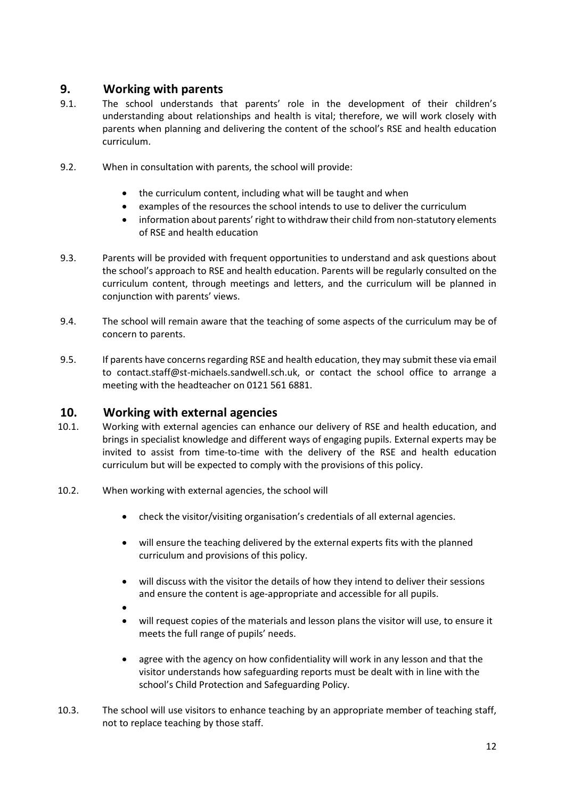## **9. Working with parents**

- 9.1. The school understands that parents' role in the development of their children's understanding about relationships and health is vital; therefore, we will work closely with parents when planning and delivering the content of the school's RSE and health education curriculum.
- 9.2. When in consultation with parents, the school will provide:
	- the curriculum content, including what will be taught and when
	- examples of the resources the school intends to use to deliver the curriculum
	- information about parents' right to withdraw their child from non-statutory elements of RSE and health education
- 9.3. Parents will be provided with frequent opportunities to understand and ask questions about the school's approach to RSE and health education. Parents will be regularly consulted on the curriculum content, through meetings and letters, and the curriculum will be planned in conjunction with parents' views.
- 9.4. The school will remain aware that the teaching of some aspects of the curriculum may be of concern to parents.
- 9.5. If parents have concerns regarding RSE and health education, they may submit these via email to contact.staff@st-michaels.sandwell.sch.uk, or contact the school office to arrange a meeting with the headteacher on 0121 561 6881.

## <span id="page-12-0"></span>**10. Working with external agencies**

- 10.1. Working with external agencies can enhance our delivery of RSE and health education, and brings in specialist knowledge and different ways of engaging pupils. External experts may be invited to assist from time-to-time with the delivery of the RSE and health education curriculum but will be expected to comply with the provisions of this policy.
- 10.2. When working with external agencies, the school will
	- check the visitor/visiting organisation's credentials of all external agencies.
	- will ensure the teaching delivered by the external experts fits with the planned curriculum and provisions of this policy.
	- will discuss with the visitor the details of how they intend to deliver their sessions and ensure the content is age-appropriate and accessible for all pupils.
	- $\bullet$
	- will request copies of the materials and lesson plans the visitor will use, to ensure it meets the full range of pupils' needs.
	- agree with the agency on how confidentiality will work in any lesson and that the visitor understands how safeguarding reports must be dealt with in line with the school's Child Protection and Safeguarding Policy.
- 10.3. The school will use visitors to enhance teaching by an appropriate member of teaching staff, not to replace teaching by those staff.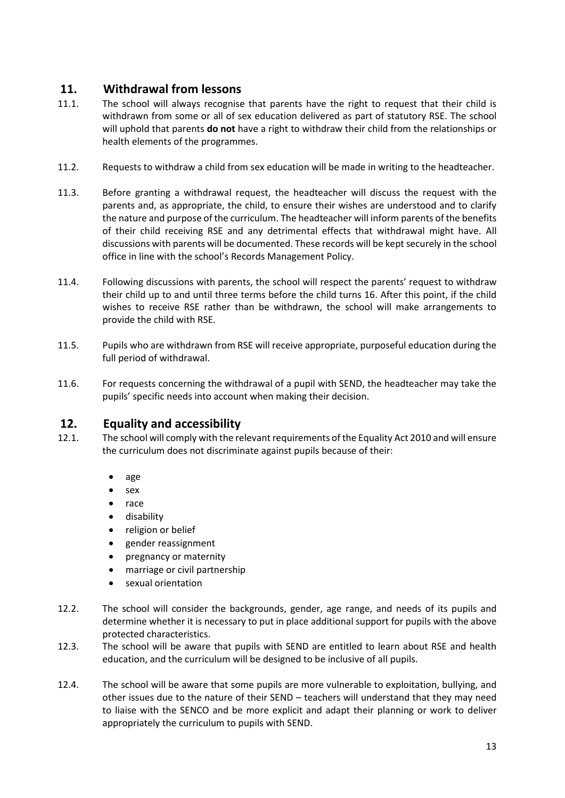## <span id="page-13-0"></span>**11. Withdrawal from lessons**

- 11.1. The school will always recognise that parents have the right to request that their child is withdrawn from some or all of sex education delivered as part of statutory RSE. The school will uphold that parents **do not** have a right to withdraw their child from the relationships or health elements of the programmes.
- 11.2. Requests to withdraw a child from sex education will be made in writing to the headteacher.
- 11.3. Before granting a withdrawal request, the headteacher will discuss the request with the parents and, as appropriate, the child, to ensure their wishes are understood and to clarify the nature and purpose of the curriculum. The headteacher will inform parents of the benefits of their child receiving RSE and any detrimental effects that withdrawal might have. All discussions with parents will be documented. These records will be kept securely in the school office in line with the school's Records Management Policy.
- 11.4. Following discussions with parents, the school will respect the parents' request to withdraw their child up to and until three terms before the child turns 16. After this point, if the child wishes to receive RSE rather than be withdrawn, the school will make arrangements to provide the child with RSE.
- 11.5. Pupils who are withdrawn from RSE will receive appropriate, purposeful education during the full period of withdrawal.
- 11.6. For requests concerning the withdrawal of a pupil with SEND, the headteacher may take the pupils' specific needs into account when making their decision.

## <span id="page-13-1"></span>**12. Equality and accessibility**

- 12.1. The school will comply with the relevant requirements of the Equality Act 2010 and will ensure the curriculum does not discriminate against pupils because of their:
	- age
	- sex
	- race
	- disability
	- religion or belief
	- gender reassignment
	- pregnancy or maternity
	- marriage or civil partnership
	- sexual orientation
- 12.2. The school will consider the backgrounds, gender, age range, and needs of its pupils and determine whether it is necessary to put in place additional support for pupils with the above protected characteristics.
- 12.3. The school will be aware that pupils with SEND are entitled to learn about RSE and health education, and the curriculum will be designed to be inclusive of all pupils.
- 12.4. The school will be aware that some pupils are more vulnerable to exploitation, bullying, and other issues due to the nature of their SEND – teachers will understand that they may need to liaise with the SENCO and be more explicit and adapt their planning or work to deliver appropriately the curriculum to pupils with SEND.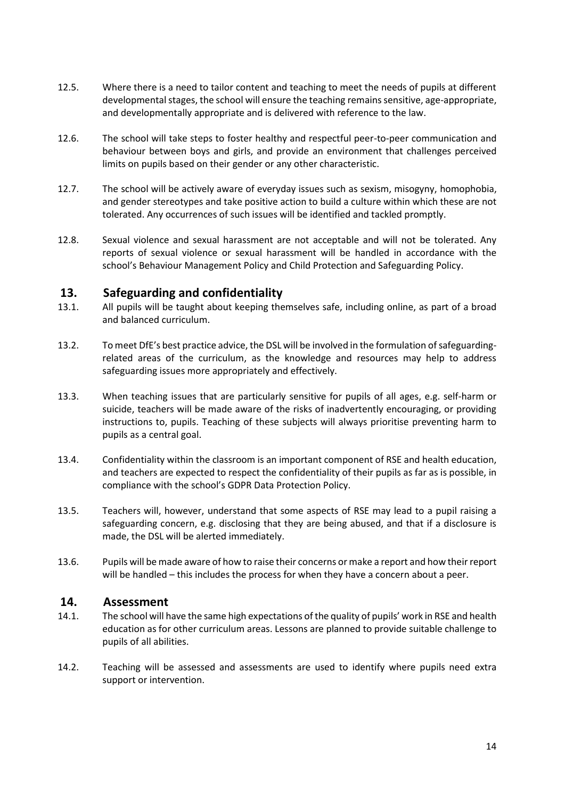- 12.5. Where there is a need to tailor content and teaching to meet the needs of pupils at different developmental stages, the school will ensure the teaching remains sensitive, age-appropriate, and developmentally appropriate and is delivered with reference to the law.
- 12.6. The school will take steps to foster healthy and respectful peer-to-peer communication and behaviour between boys and girls, and provide an environment that challenges perceived limits on pupils based on their gender or any other characteristic.
- 12.7. The school will be actively aware of everyday issues such as sexism, misogyny, homophobia, and gender stereotypes and take positive action to build a culture within which these are not tolerated. Any occurrences of such issues will be identified and tackled promptly.
- 12.8. Sexual violence and sexual harassment are not acceptable and will not be tolerated. Any reports of sexual violence or sexual harassment will be handled in accordance with the school's Behaviour Management Policy and Child Protection and Safeguarding Policy.

#### <span id="page-14-0"></span>**13. Safeguarding and confidentiality**

- 13.1. All pupils will be taught about keeping themselves safe, including online, as part of a broad and balanced curriculum.
- 13.2. To meet DfE's best practice advice, the DSL will be involved in the formulation of safeguardingrelated areas of the curriculum, as the knowledge and resources may help to address safeguarding issues more appropriately and effectively.
- 13.3. When teaching issues that are particularly sensitive for pupils of all ages, e.g. self-harm or suicide, teachers will be made aware of the risks of inadvertently encouraging, or providing instructions to, pupils. Teaching of these subjects will always prioritise preventing harm to pupils as a central goal.
- 13.4. Confidentiality within the classroom is an important component of RSE and health education, and teachers are expected to respect the confidentiality of their pupils as far as is possible, in compliance with the school's GDPR Data Protection Policy.
- 13.5. Teachers will, however, understand that some aspects of RSE may lead to a pupil raising a safeguarding concern, e.g. disclosing that they are being abused, and that if a disclosure is made, the DSL will be alerted immediately.
- 13.6. Pupils will be made aware of how to raise their concerns or make a report and how their report will be handled – this includes the process for when they have a concern about a peer.

#### <span id="page-14-1"></span>**14. Assessment**

- 14.1. The school will have the same high expectations of the quality of pupils' work in RSE and health education as for other curriculum areas. Lessons are planned to provide suitable challenge to pupils of all abilities.
- 14.2. Teaching will be assessed and assessments are used to identify where pupils need extra support or intervention.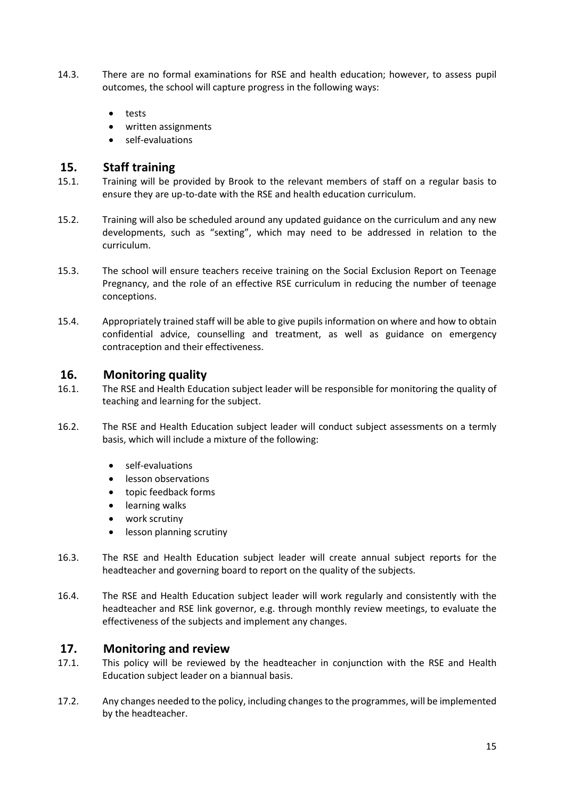- 14.3. There are no formal examinations for RSE and health education; however, to assess pupil outcomes, the school will capture progress in the following ways:
	- tests
	- written assignments
	- self-evaluations

#### <span id="page-15-0"></span>**15. Staff training**

- 15.1. Training will be provided by Brook to the relevant members of staff on a regular basis to ensure they are up-to-date with the RSE and health education curriculum.
- 15.2. Training will also be scheduled around any updated guidance on the curriculum and any new developments, such as "sexting", which may need to be addressed in relation to the curriculum.
- 15.3. The school will ensure teachers receive training on the Social Exclusion Report on Teenage Pregnancy, and the role of an effective RSE curriculum in reducing the number of teenage conceptions.
- 15.4. Appropriately trained staff will be able to give pupils information on where and how to obtain confidential advice, counselling and treatment, as well as guidance on emergency contraception and their effectiveness.

#### <span id="page-15-1"></span>**16. Monitoring quality**

- 16.1. The RSE and Health Education subject leader will be responsible for monitoring the quality of teaching and learning for the subject.
- 16.2. The RSE and Health Education subject leader will conduct subject assessments on a termly basis, which will include a mixture of the following:
	- self-evaluations
	- **•** lesson observations
	- topic feedback forms
	- **•** learning walks
	- work scrutiny
	- lesson planning scrutiny
- 16.3. The RSE and Health Education subject leader will create annual subject reports for the headteacher and governing board to report on the quality of the subjects.
- 16.4. The RSE and Health Education subject leader will work regularly and consistently with the headteacher and RSE link governor, e.g. through monthly review meetings, to evaluate the effectiveness of the subjects and implement any changes.

### **17. Monitoring and review**

- 17.1. This policy will be reviewed by the headteacher in conjunction with the RSE and Health Education subject leader on a biannual basis.
- 17.2. Any changes needed to the policy, including changes to the programmes, will be implemented by the headteacher.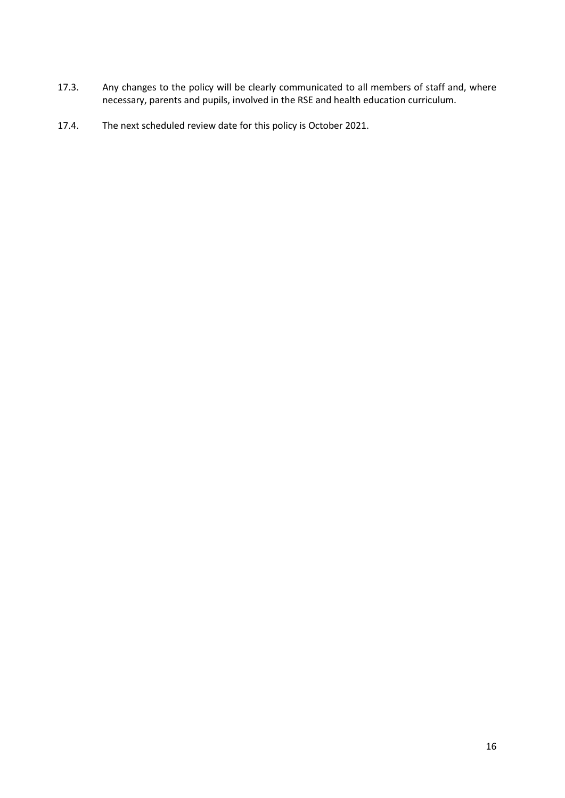- 17.3. Any changes to the policy will be clearly communicated to all members of staff and, where necessary, parents and pupils, involved in the RSE and health education curriculum.
- 17.4. The next scheduled review date for this policy is October 2021.